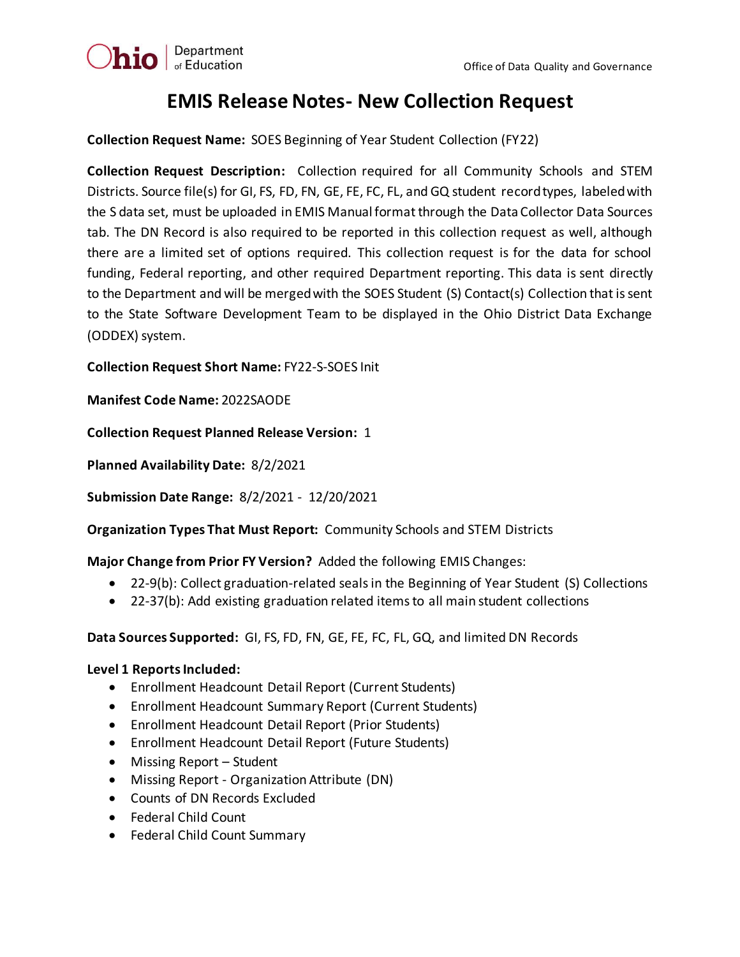

## **EMIS Release Notes- New Collection Request**

**Collection Request Name:** SOES Beginning of Year Student Collection (FY22)

**Collection Request Description:** Collection required for all Community Schools and STEM Districts. Source file(s) for GI, FS, FD, FN, GE, FE, FC, FL, and GQ student record types, labeled with the S data set, must be uploaded in EMIS Manual format through the Data Collector Data Sources tab. The DN Record is also required to be reported in this collection request as well, although there are a limited set of options required. This collection request is for the data for school funding, Federal reporting, and other required Department reporting. This data is sent directly to the Department and will be merged with the SOES Student (S) Contact(s) Collection that is sent to the State Software Development Team to be displayed in the Ohio District Data Exchange (ODDEX) system.

**Collection Request Short Name:** FY22-S-SOES Init

**Manifest Code Name:** 2022SAODE

**Collection Request Planned Release Version:** 1

**Planned Availability Date:** 8/2/2021

**Submission Date Range:** 8/2/2021 - 12/20/2021

**Organization Types That Must Report:** Community Schools and STEM Districts

**Major Change from Prior FY Version?** Added the following EMIS Changes:

- 22-9(b): Collect graduation-related seals in the Beginning of Year Student (S) Collections
- 22-37(b): Add existing graduation related items to all main student collections

**Data Sources Supported:** GI, FS, FD, FN, GE, FE, FC, FL, GQ, and limited DN Records

## **Level 1 Reports Included:**

- Enrollment Headcount Detail Report (Current Students)
- Enrollment Headcount Summary Report (Current Students)
- Enrollment Headcount Detail Report (Prior Students)
- Enrollment Headcount Detail Report (Future Students)
- Missing Report Student
- Missing Report Organization Attribute (DN)
- Counts of DN Records Excluded
- Federal Child Count
- Federal Child Count Summary